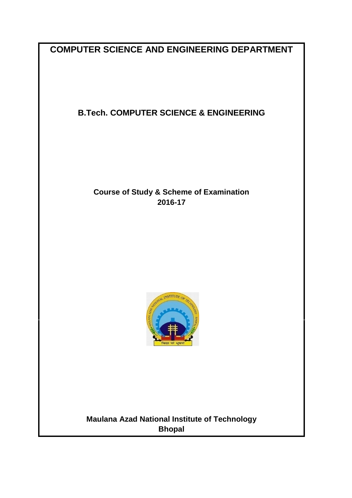**COMPUTER SCIENCE AND ENGINEERING DEPARTMENT**

## **B.Tech. COMPUTER SCIENCE & ENGINEERING**

## **Course of Study & Scheme of Examination 2016-17**



**Maulana Azad National Institute of Technology Bhopal**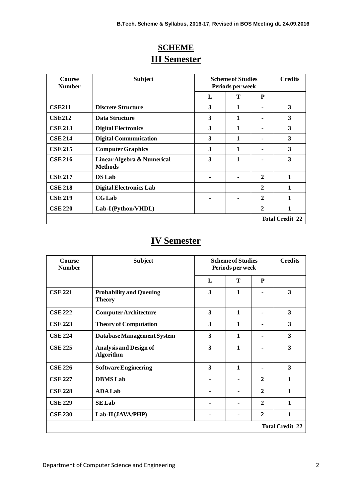| Course<br><b>Number</b> | <b>Subject</b>                               | <b>Scheme of Studies</b><br>Periods per week |   |                | <b>Credits</b>         |
|-------------------------|----------------------------------------------|----------------------------------------------|---|----------------|------------------------|
|                         |                                              | L                                            | Т | P              |                        |
| <b>CSE211</b>           | <b>Discrete Structure</b>                    | 3                                            | 1 |                | 3                      |
| <b>CSE212</b>           | Data Structure                               | 3                                            | 1 |                | 3                      |
| <b>CSE 213</b>          | <b>Digital Electronics</b>                   | 3                                            | 1 |                | 3                      |
| <b>CSE 214</b>          | <b>Digital Communication</b>                 | 3                                            | 1 |                | 3                      |
| <b>CSE 215</b>          | <b>Computer Graphics</b>                     | 3                                            | 1 | ۰              | 3                      |
| <b>CSE 216</b>          | Linear Algebra & Numerical<br><b>Methods</b> | 3                                            | 1 |                | 3                      |
| <b>CSE 217</b>          | <b>DS</b> Lab                                |                                              |   | $\mathbf{2}$   | 1                      |
| <b>CSE 218</b>          | <b>Digital Electronics Lab</b>               |                                              |   | $\mathbf{2}$   | 1                      |
| <b>CSE 219</b>          | <b>CG</b> Lab                                |                                              |   | $\mathbf{2}$   | 1                      |
| <b>CSE 220</b>          | Lab-I (Python/VHDL)                          |                                              |   | $\overline{2}$ | 1                      |
|                         |                                              |                                              |   |                | <b>Total Credit 22</b> |

# **SCHEME III Semester**

# **IV Semester**

| Course<br><b>Number</b> | <b>Subject</b><br><b>Scheme of Studies</b><br>Periods per week |   |              | <b>Credits</b> |                        |
|-------------------------|----------------------------------------------------------------|---|--------------|----------------|------------------------|
|                         |                                                                | L | T            | P              |                        |
| <b>CSE 221</b>          | <b>Probability and Queuing</b><br><b>Theory</b>                | 3 | $\mathbf{1}$ |                | 3                      |
| <b>CSE 222</b>          | <b>Computer Architecture</b>                                   | 3 | $\mathbf{1}$ |                | 3                      |
| <b>CSE 223</b>          | <b>Theory of Computation</b>                                   | 3 | 1            |                | 3                      |
| <b>CSE 224</b>          | Database Management System                                     | 3 | $\mathbf{1}$ |                | 3                      |
| <b>CSE 225</b>          | <b>Analysis and Design of</b><br><b>Algorithm</b>              | 3 | $\mathbf{1}$ |                | 3                      |
| <b>CSE 226</b>          | <b>Software Engineering</b>                                    | 3 | $\mathbf{1}$ |                | 3                      |
| <b>CSE 227</b>          | <b>DBMS</b> Lab                                                |   |              | $\mathbf{2}$   | 1                      |
| <b>CSE 228</b>          | <b>ADA Lab</b>                                                 |   |              | $\mathbf{2}$   | $\mathbf{1}$           |
| <b>CSE 229</b>          | <b>SELab</b>                                                   |   |              | $\mathbf{2}$   | $\mathbf{1}$           |
| <b>CSE 230</b>          | Lab-II (JAVA/PHP)                                              |   |              | $\mathbf{2}$   | 1                      |
|                         |                                                                |   |              |                | <b>Total Credit 22</b> |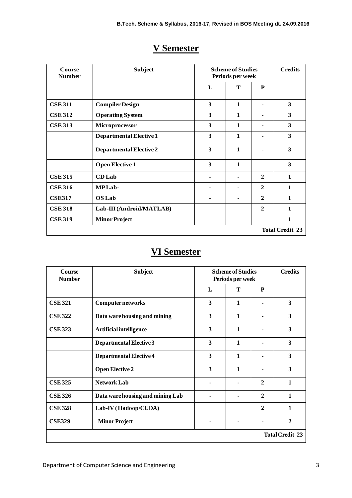| Course<br><b>Number</b> | <b>Subject</b>                 |   | <b>Scheme of Studies</b><br>Periods per week |                          |                        |
|-------------------------|--------------------------------|---|----------------------------------------------|--------------------------|------------------------|
|                         |                                | L | T                                            | P                        |                        |
| <b>CSE 311</b>          | <b>Compiler Design</b>         | 3 | $\mathbf{1}$                                 | $\overline{\phantom{0}}$ | 3                      |
| <b>CSE 312</b>          | <b>Operating System</b>        | 3 | $\mathbf{1}$                                 |                          | 3                      |
| <b>CSE 313</b>          | Microprocessor                 | 3 | 1                                            |                          | 3                      |
|                         | <b>Departmental Elective 1</b> | 3 | 1                                            |                          | 3                      |
|                         | <b>Departmental Elective 2</b> | 3 | 1                                            |                          | 3                      |
|                         | <b>Open Elective 1</b>         | 3 | $\mathbf{1}$                                 |                          | 3                      |
| <b>CSE 315</b>          | <b>CD</b> Lab                  |   | ۰                                            | $\mathbf{2}$             | 1                      |
| <b>CSE 316</b>          | <b>MPLab-</b>                  |   |                                              | $\mathbf{2}$             | $\mathbf{1}$           |
| <b>CSE317</b>           | <b>OS Lab</b>                  |   | ۰                                            | $\mathbf{2}$             | 1                      |
| <b>CSE 318</b>          | Lab-III (Android/MATLAB)       |   |                                              | $\mathbf{2}$             | $\mathbf{1}$           |
| <b>CSE 319</b>          | <b>Minor Project</b>           |   |                                              |                          | $\mathbf{1}$           |
|                         |                                |   |                                              |                          | <b>Total Credit 23</b> |
|                         |                                |   |                                              |                          |                        |

# **V Semester**

# **VI Semester**

| Course<br><b>Number</b> | <b>Subject</b>                   | <b>Scheme of Studies</b><br>Periods per week |              | <b>Credits</b> |                        |
|-------------------------|----------------------------------|----------------------------------------------|--------------|----------------|------------------------|
|                         |                                  | L                                            | T            | P              |                        |
| <b>CSE 321</b>          | Computer networks                | 3                                            | $\mathbf{1}$ |                | 3                      |
| <b>CSE 322</b>          | Data ware housing and mining     | $\overline{\mathbf{3}}$                      | $\mathbf{1}$ |                | 3                      |
| <b>CSE 323</b>          | Artificial intelligence          | 3                                            | 1            |                | 3                      |
|                         | Departmental Elective 3          | 3                                            | 1            |                | 3                      |
|                         | <b>Departmental Elective 4</b>   | $\overline{\mathbf{3}}$                      | $\mathbf{1}$ |                | 3                      |
|                         | <b>Open Elective 2</b>           | 3                                            | $\mathbf{1}$ |                | 3                      |
| <b>CSE 325</b>          | <b>Network Lab</b>               |                                              |              | $\mathbf{2}$   | $\mathbf{1}$           |
| <b>CSE 326</b>          | Data ware housing and mining Lab |                                              |              | $\mathbf{2}$   | $\mathbf{1}$           |
| <b>CSE 328</b>          | Lab-IV (Hadoop/CUDA)             |                                              |              | $\mathbf{2}$   | 1                      |
| <b>CSE329</b>           | <b>Minor Project</b>             |                                              |              |                | $\mathbf{2}$           |
|                         |                                  |                                              |              |                | <b>Total Credit 23</b> |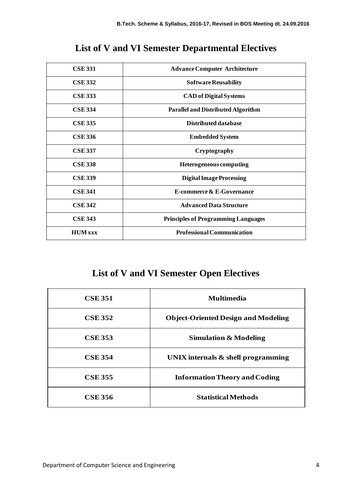| <b>CSE 331</b> | <b>Advance Computer Architecture</b>       |
|----------------|--------------------------------------------|
| <b>CSE 332</b> | <b>Software Reusability</b>                |
| <b>CSE 333</b> | <b>CAD of Digital Systems</b>              |
| <b>CSE 334</b> | <b>Parallel and Distributed Algorithm</b>  |
| <b>CSE 335</b> | Distributed database                       |
| <b>CSE 336</b> | <b>Embedded System</b>                     |
| <b>CSE 337</b> | Cryptography                               |
| <b>CSE 338</b> | <b>Heterogeneous computing</b>             |
| <b>CSE 339</b> | <b>Digital Image Processing</b>            |
| <b>CSE 341</b> | E-commerce & E-Governance                  |
| <b>CSE 342</b> | <b>Advanced Data Structure</b>             |
| <b>CSE 343</b> | <b>Principles of Programming Languages</b> |
| <b>HUM</b> xxx | <b>Professional Communication</b>          |

## **List of V and VI Semester Departmental Electives**

# **List of V and VI Semester Open Electives**

| <b>CSE 351</b> | <b>Multimedia</b>                          |
|----------------|--------------------------------------------|
| <b>CSE 352</b> | <b>Object-Oriented Design and Modeling</b> |
| <b>CSE 353</b> | <b>Simulation &amp; Modeling</b>           |
| <b>CSE 354</b> | UNIX internals $\&$ shell programming      |
| <b>CSE 355</b> | <b>Information Theory and Coding</b>       |
| <b>CSE 356</b> | <b>Statistical Methods</b>                 |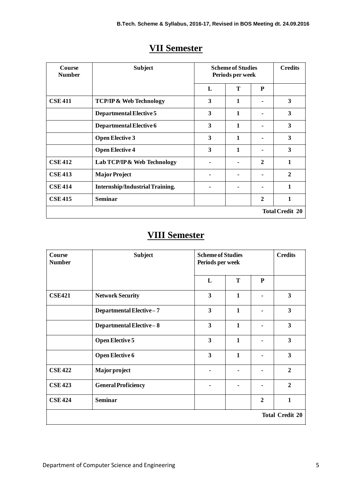| Course<br><b>Number</b> | <b>Subject</b>                         | <b>Scheme of Studies</b><br>Periods per week |   |              | <b>Credits</b>         |
|-------------------------|----------------------------------------|----------------------------------------------|---|--------------|------------------------|
|                         |                                        | L                                            | T | P            |                        |
| <b>CSE 411</b>          | <b>TCP/IP &amp; Web Technology</b>     | 3                                            | 1 |              | 3                      |
|                         | Departmental Elective 5                | 3                                            | 1 |              | 3                      |
|                         | Departmental Elective 6                | 3                                            | 1 |              | 3                      |
|                         | <b>Open Elective 3</b>                 | 3                                            | 1 | ٠            | 3                      |
|                         | <b>Open Elective 4</b>                 | 3                                            | 1 |              | 3                      |
| <b>CSE 412</b>          | Lab TCP/IP & Web Technology            |                                              |   | $\mathbf{2}$ | $\mathbf{1}$           |
| <b>CSE 413</b>          | <b>Major Project</b>                   |                                              |   |              | $\mathbf{2}$           |
| <b>CSE 414</b>          | <b>Internship/Industrial Training.</b> |                                              |   |              | 1                      |
| <b>CSE 415</b>          | <b>Seminar</b>                         |                                              |   | $\mathbf{2}$ | 1                      |
|                         |                                        |                                              |   |              | <b>Total Credit 20</b> |

## **VII Semester**

## **VIII Semester**

| Course<br><b>Number</b> | <b>Subject</b>             | <b>Scheme of Studies</b><br>Periods per week |              |   | <b>Credits</b>          |
|-------------------------|----------------------------|----------------------------------------------|--------------|---|-------------------------|
|                         |                            | L                                            | T            | P |                         |
| <b>CSE421</b>           | <b>Network Security</b>    | $\overline{\mathbf{3}}$                      | $\mathbf{1}$ |   | 3                       |
|                         | Departmental Elective-7    | $\mathbf{3}$                                 | 1            |   | $\overline{\mathbf{3}}$ |
|                         | Departmental Elective-8    | $\mathbf{3}$                                 | $\mathbf{1}$ |   | 3                       |
|                         | <b>Open Elective 5</b>     | 3                                            | $\mathbf{1}$ |   | 3                       |
|                         | <b>Open Elective 6</b>     | $\overline{\mathbf{3}}$                      | $\mathbf{1}$ |   | 3                       |
| <b>CSE 422</b>          | Major project              |                                              |              |   | $\overline{2}$          |
| <b>CSE 423</b>          | <b>General Proficiency</b> |                                              |              |   | $\overline{2}$          |
| <b>CSE 424</b>          | <b>Seminar</b>             |                                              |              | 2 | $\mathbf{1}$            |
|                         |                            |                                              |              |   | <b>Total Credit 20</b>  |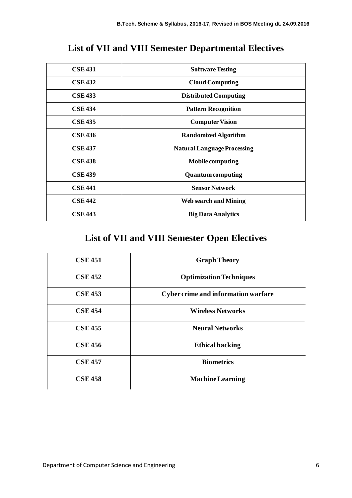## **List of VII and VIII Semester Departmental Electives**

| <b>CSE 431</b> | <b>Software Testing</b>            |
|----------------|------------------------------------|
| <b>CSE 432</b> | <b>Cloud Computing</b>             |
| <b>CSE 433</b> | <b>Distributed Computing</b>       |
| <b>CSE 434</b> | <b>Pattern Recognition</b>         |
| <b>CSE 435</b> | <b>Computer Vision</b>             |
| <b>CSE 436</b> | <b>Randomized Algorithm</b>        |
| <b>CSE 437</b> | <b>Natural Language Processing</b> |
| <b>CSE 438</b> | Mobile computing                   |
| <b>CSE 439</b> | <b>Quantum computing</b>           |
| <b>CSE 441</b> | <b>Sensor Network</b>              |
| <b>CSE 442</b> | <b>Web search and Mining</b>       |
| <b>CSE 443</b> | <b>Big Data Analytics</b>          |

# **List of VII and VIII Semester Open Electives**

| <b>CSE 451</b> | <b>Graph Theory</b>                        |  |
|----------------|--------------------------------------------|--|
| <b>CSE 452</b> | <b>Optimization Techniques</b>             |  |
| <b>CSE 453</b> | <b>Cyber crime and information warfare</b> |  |
| <b>CSE 454</b> | <b>Wireless Networks</b>                   |  |
| <b>CSE 455</b> | <b>Neural Networks</b>                     |  |
| <b>CSE 456</b> | <b>Ethical hacking</b>                     |  |
| <b>CSE 457</b> | <b>Biometrics</b>                          |  |
| <b>CSE 458</b> | <b>Machine Learning</b>                    |  |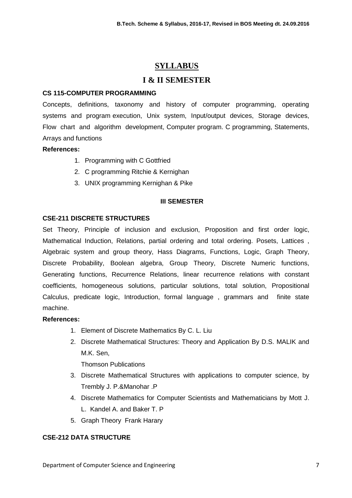## **SYLLABUS**

## **I & II SEMESTER**

## **CS 115-COMPUTER PROGRAMMING**

Concepts, definitions, taxonomy and history of computer programming, operating systems and program execution, Unix system, Input/output devices, Storage devices, Flow chart and algorithm development, Computer program. C programming, Statements, Arrays and functions

## **References:**

- 1. Programming with C Gottfried
- 2. C programming Ritchie & Kernighan
- 3. UNIX programming Kernighan & Pike

## **III SEMESTER**

## **CSE-211 DISCRETE STRUCTURES**

Set Theory, Principle of inclusion and exclusion, Proposition and first order logic, Mathematical Induction, Relations, partial ordering and total ordering. Posets, Lattices , Algebraic system and group theory, Hass Diagrams, Functions, Logic, Graph Theory, Discrete Probability, Boolean algebra, Group Theory, Discrete Numeric functions, Generating functions, Recurrence Relations, linear recurrence relations with constant coefficients, homogeneous solutions, particular solutions, total solution, Propositional Calculus, predicate logic, Introduction, formal language , grammars and finite state machine.

## **References:**

- 1. Element of Discrete Mathematics By C. L. Liu
- 2. Discrete Mathematical Structures: Theory and Application By D.S. MALIK and M.K. Sen,

Thomson Publications

- 3. Discrete Mathematical Structures with applications to computer science, by Trembly J. P.&Manohar .P
- 4. Discrete Mathematics for Computer Scientists and Mathematicians by Mott J. L. Kandel A. and Baker T. P
- 5. Graph Theory Frank Harary

## **CSE-212 DATA STRUCTURE**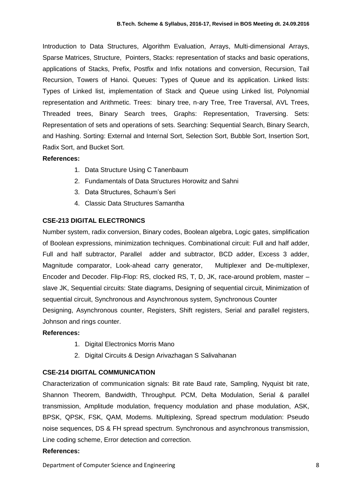Introduction to Data Structures, Algorithm Evaluation, Arrays, Multi-dimensional Arrays, Sparse Matrices, Structure, Pointers, Stacks: representation of stacks and basic operations, applications of Stacks, Prefix, Postfix and Infix notations and conversion, Recursion, Tail Recursion, Towers of Hanoi. Queues: Types of Queue and its application. Linked lists: Types of Linked list, implementation of Stack and Queue using Linked list, Polynomial representation and Arithmetic. Trees: binary tree, n-ary Tree, Tree Traversal, AVL Trees, Threaded trees, Binary Search trees, Graphs: Representation, Traversing. Sets: Representation of sets and operations of sets. Searching: Sequential Search, Binary Search, and Hashing. Sorting: External and Internal Sort, Selection Sort, Bubble Sort, Insertion Sort, Radix Sort, and Bucket Sort.

#### **References:**

- 1. Data Structure Using C Tanenbaum
- 2. Fundamentals of Data Structures Horowitz and Sahni
- 3. Data Structures, Schaum's Seri
- 4. Classic Data Structures Samantha

## **CSE-213 DIGITAL ELECTRONICS**

Number system, radix conversion, Binary codes, Boolean algebra, Logic gates, simplification of Boolean expressions, minimization techniques. Combinational circuit: Full and half adder, Full and half subtractor, Parallel adder and subtractor, BCD adder, Excess 3 adder, Magnitude comparator, Look-ahead carry generator, Multiplexer and De-multiplexer, Encoder and Decoder. Flip-Flop: RS, clocked RS, T, D, JK, race-around problem, master – slave JK, Sequential circuits: State diagrams, Designing of sequential circuit, Minimization of sequential circuit, Synchronous and Asynchronous system, Synchronous Counter Designing, Asynchronous counter, Registers, Shift registers, Serial and parallel registers, Johnson and rings counter.

## **References:**

- 1. Digital Electronics Morris Mano
- 2. Digital Circuits & Design [Arivazhagan S Salivahanan](http://www.google.co.in/search?tbo=p&tbm=bks&q=inauthor:%22Arivazhagan+S+Salivahanan%22)

## **CSE-214 DIGITAL COMMUNICATION**

Characterization of communication signals: Bit rate Baud rate, Sampling, Nyquist bit rate, Shannon Theorem, Bandwidth, Throughput. PCM, Delta Modulation, Serial & parallel transmission, Amplitude modulation, frequency modulation and phase modulation, ASK, BPSK, QPSK, FSK, QAM, Modems. Multiplexing, Spread spectrum modulation: Pseudo noise sequences, DS & FH spread spectrum. Synchronous and asynchronous transmission, Line coding scheme, Error detection and correction.

## **References:**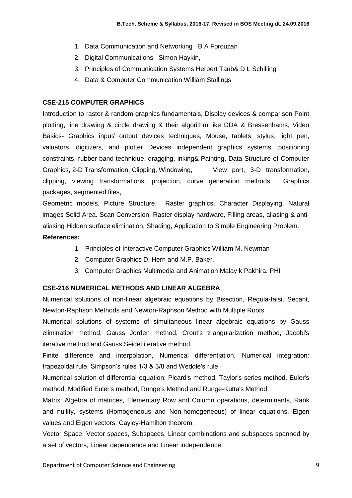- 1. Data Communication and Networking B A Forouzan
- 2. Digital Communications Simon Haykin,
- 3. Principles of Communication Systems Herbert Taub& D L Schilling
- 4. Data & Computer Communication William Stallings

### **CSE-215 COMPUTER GRAPHICS**

Introduction to raster & random graphics fundamentals, Display devices & comparison Point plotting, line drawing & circle drawing & their algorithm like DDA & Bressenhams, Video Basics- Graphics input/ output devices techniques, Mouse, tablets, stylus, light pen, valuators, digitizers, and plotter Devices independent graphics systems, positioning constraints, rubber band technique, dragging, inking& Painting, Data Structure of Computer Graphics, 2-D Transformation, Clipping, Windowing, View port, 3-D transformation, clipping, viewing transformations, projection, curve generation methods. Graphics packages, segmented files,

Geometric models, Picture Structure. Raster graphics, Character Displaying, Natural images Solid Area. Scan Conversion, Raster display hardware, Filling areas, aliasing & antialiasing Hidden surface elimination, Shading, Application to Simple Engineering Problem. **References:**

- 1. Principles of Interactive Computer Graphics William M. Newman
- 2. Computer Graphics D. Hern and M.P. Baker.
- 3. Computer Graphics Multimedia and Animation Malay k Pakhira. PHI

#### **CSE-216 NUMERICAL METHODS AND LINEAR ALGEBRA**

Numerical solutions of non-linear algebraic equations by Bisection, Regula-falsi, Secant, Newton-Raphson Methods and Newton-Raphson Method with Multiple Roots.

Numerical solutions of systems of simultaneous linear algebraic equations by Gauss elimination method, Gauss Jorden method, Crout's triangularization method, Jacobi's iterative method and Gauss Seidel iterative method.

Finite difference and interpolation, Numerical differentiation, Numerical integration: trapezoidal rule, Simpson's rules 1/3 & 3/8 and Weddle's rule.

Numerical solution of differential equation: Picard's method, Taylor's series method, Euler's method, Modified Euler's method, Runge's Method and Runge-Kutta's Method.

Matrix: Algebra of matrices, Elementary Row and Column operations, determinants, Rank and nullity, systems (Homogeneous and Non-homogeneous) of linear equations, Eigen values and Eigen vectors, Cayley-Hamilton theorem.

Vector Space: Vector spaces, Subspaces, Linear combinations and subspaces spanned by a set of vectors, Linear dependence and Linear independence.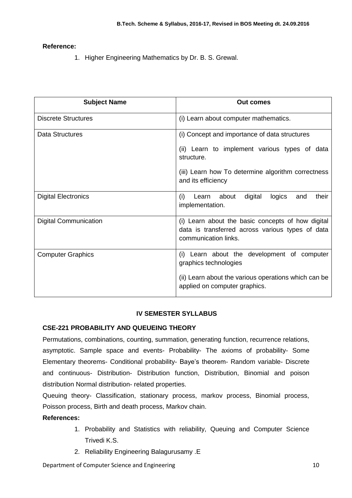## **Reference:**

1. Higher Engineering Mathematics by Dr. B. S. Grewal.

| <b>Subject Name</b>          | Out comes                                                                                                                     |
|------------------------------|-------------------------------------------------------------------------------------------------------------------------------|
| <b>Discrete Structures</b>   | (i) Learn about computer mathematics.                                                                                         |
| Data Structures              | (i) Concept and importance of data structures                                                                                 |
|                              | (ii) Learn to implement various types of data<br>structure.                                                                   |
|                              | (iii) Learn how To determine algorithm correctness<br>and its efficiency                                                      |
| <b>Digital Electronics</b>   | digital<br>logics<br>their<br>about<br>(i)<br>Learn<br>and<br>implementation.                                                 |
| <b>Digital Communication</b> | (i) Learn about the basic concepts of how digital<br>data is transferred across various types of data<br>communication links. |
| <b>Computer Graphics</b>     | (i) Learn about the development of computer<br>graphics technologies                                                          |
|                              | (ii) Learn about the various operations which can be<br>applied on computer graphics.                                         |

## **IV SEMESTER SYLLABUS**

## **CSE-221 PROBABILITY AND QUEUEING THEORY**

Permutations, combinations, counting, summation, generating function, recurrence relations, asymptotic. Sample space and events- Probability- The axioms of probability- Some Elementary theorems- Conditional probability- Baye's theorem- Random variable- Discrete and continuous- Distribution- Distribution function, Distribution, Binomial and poison distribution Normal distribution- related properties.

Queuing theory- Classification, stationary process, markov process, Binomial process, Poisson process, Birth and death process, Markov chain.

## **References:**

- 1. Probability and Statistics with reliability, Queuing and Computer Science Trivedi K.S.
- 2. Reliability Engineering Balagurusamy .E

Department of Computer Science and Engineering 10 and 10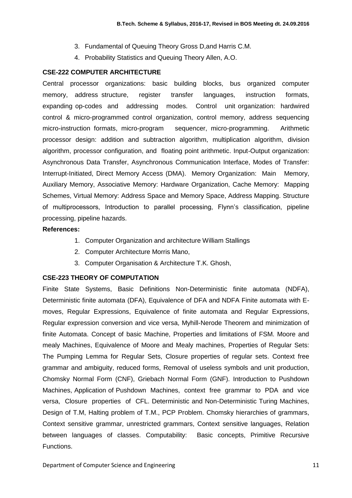- 3. Fundamental of Queuing Theory Gross D,and Harris C.M.
- 4. Probability Statistics and Queuing Theory Allen, A.O.

## **CSE-222 COMPUTER ARCHITECTURE**

Central processor organizations: basic building blocks, bus organized computer memory, address structure, register transfer languages, instruction formats, expanding op-codes and addressing modes. Control unit organization: hardwired control & micro-programmed control organization, control memory, address sequencing micro-instruction formats, micro-program sequencer, micro-programming. Arithmetic processor design: addition and subtraction algorithm, multiplication algorithm, division algorithm, processor configuration, and floating point arithmetic. Input-Output organization: Asynchronous Data Transfer, Asynchronous Communication Interface, Modes of Transfer: Interrupt-Initiated, Direct Memory Access (DMA). Memory Organization: Main Memory, Auxiliary Memory, Associative Memory: Hardware Organization, Cache Memory: Mapping Schemes, Virtual Memory: Address Space and Memory Space, Address Mapping. Structure of multiprocessors, Introduction to parallel processing, Flynn's classification, pipeline processing, pipeline hazards.

## **References:**

- 1. Computer Organization and architecture William Stallings
- 2. Computer Architecture Morris Mano,
- 3. Computer Organisation & Architecture T.K. Ghosh,

## **CSE-223 THEORY OF COMPUTATION**

Finite State Systems, Basic Definitions Non-Deterministic finite automata (NDFA), Deterministic finite automata (DFA), Equivalence of DFA and NDFA Finite automata with Emoves, Regular Expressions, Equivalence of finite automata and Regular Expressions, Regular expression conversion and vice versa, Myhill-Nerode Theorem and minimization of finite Automata. Concept of basic Machine, Properties and limitations of FSM. Moore and mealy Machines, Equivalence of Moore and Mealy machines, Properties of Regular Sets: The Pumping Lemma for Regular Sets, Closure properties of regular sets. Context free grammar and ambiguity, reduced forms, Removal of useless symbols and unit production, Chomsky Normal Form (CNF), Griebach Normal Form (GNF). Introduction to Pushdown Machines, Application of Pushdown Machines, context free grammar to PDA and vice versa, Closure properties of CFL. Deterministic and Non-Deterministic Turing Machines, Design of T.M, Halting problem of T.M., PCP Problem. Chomsky hierarchies of grammars, Context sensitive grammar, unrestricted grammars, Context sensitive languages, Relation between languages of classes. Computability: Basic concepts, Primitive Recursive Functions.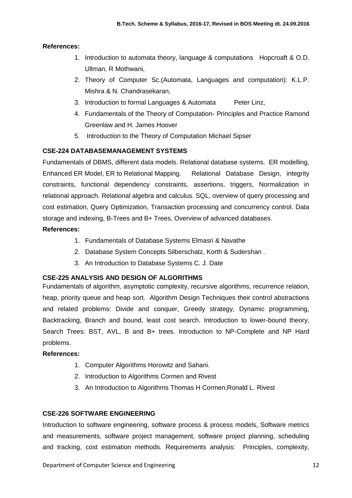### **References:**

- 1. Introduction to automata theory, language & computations Hopcroaft & O.D. Ullman, R Mothwani,
- 2. Theory of Computer Sc.(Automata, Languages and computation): K.L.P. Mishra & N. Chandrasekaran,
- 3. Introduction to formal Languages & Automata Peter Linz,
- 4. Fundamentals of the Theory of Computation- Principles and Practice Ramond Greenlaw and H. James Hoover
- 5. Introduction to the Theory of Computation [Michael Sipser](http://www.google.co.in/search?tbo=p&tbm=bks&q=inauthor:%22Michael+Sipser%22)

## **CSE-224 DATABASEMANAGEMENT SYSTEMS**

Fundamentals of DBMS, different data models. Relational database systems. ER modelling, Enhanced ER Model, ER to Relational Mapping. Relational Database Design, integrity constraints, functional dependency constraints, assertions, triggers, Normalization in relational approach. Relational algebra and calculus. SQL, overview of query processing and cost estimation, Query Optimization, Transaction processing and concurrency control. Data storage and indexing, B-Trees and B+ Trees, Overview of advanced databases.

## **References:**

- 1. Fundamentals of Database Systems Elmasri & Navathe
- 2. Database System Concepts Silberschatz, Korth & Sudershan .
- 3. An Introduction to Database Systems C. J. Date

#### **CSE-225 ANALYSIS AND DESIGN OF ALGORITHMS**

Fundamentals of algorithm, asymptotic complexity, recursive algorithms, recurrence relation, heap, priority queue and heap sort. Algorithm Design Techniques their control abstractions and related problems: Divide and conquer, Greedy strategy, Dynamic programming, Backtracking, Branch and bound, least cost search. Introduction to lower-bound theory, Search Trees: BST, AVL, B and B+ trees. Introduction to NP-Complete and NP Hard problems.

#### **References:**

- 1. Computer Algorithms Horowitz and Sahani.
- 2. Introduction to Algorithms Cormen and Rivest
- 3. An Introduction to Algorithms Thomas H Cormen,Ronald L. Rivest

#### **CSE-226 SOFTWARE ENGINEERING**

Introduction to software engineering, software process & process models, Software metrics and measurements, software project management, software project planning, scheduling and tracking, cost estimation methods. Requirements analysis: Principles, complexity,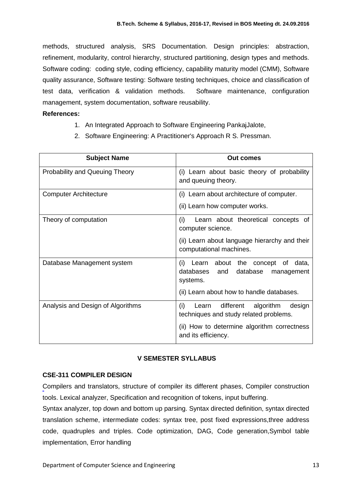methods, structured analysis, SRS Documentation. Design principles: abstraction, refinement, modularity, control hierarchy, structured partitioning, design types and methods. Software coding: coding style, coding efficiency, capability maturity model (CMM), Software quality assurance, Software testing: Software testing techniques, choice and classification of test data, verification & validation methods. Software maintenance, configuration management, system documentation, software reusability.

## **References:**

- 1. An Integrated Approach to Software Engineering PankajJalote,
- 2. Software Engineering: A Practitioner's Approach R S. Pressman.

| <b>Subject Name</b>                   | Out comes                                                                                                                                                        |
|---------------------------------------|------------------------------------------------------------------------------------------------------------------------------------------------------------------|
| <b>Probability and Queuing Theory</b> | (i) Learn about basic theory of probability<br>and queuing theory.                                                                                               |
| <b>Computer Architecture</b>          | (i) Learn about architecture of computer.<br>(ii) Learn how computer works.                                                                                      |
| Theory of computation                 | (i)<br>Learn about theoretical concepts of<br>computer science.<br>(ii) Learn about language hierarchy and their<br>computational machines.                      |
| Database Management system            | (i) Learn about the concept of data,<br>databases<br>database<br>and<br>management<br>systems.<br>(ii) Learn about how to handle databases.                      |
| Analysis and Design of Algorithms     | (i)<br>different<br>algorithm<br>design<br>Learn<br>techniques and study related problems.<br>(ii) How to determine algorithm correctness<br>and its efficiency. |

## **V SEMESTER SYLLABUS**

## **CSE-311 COMPILER DESIGN**

Compilers and translators, structure of compiler its different phases, Compiler construction tools. Lexical analyzer, Specification and recognition of tokens, input buffering.

Syntax analyzer, top down and bottom up parsing. Syntax directed definition, syntax directed translation scheme, intermediate codes: syntax tree, post fixed expressions,three address code, quadruples and triples. Code optimization, DAG, Code generation,Symbol table implementation, Error handling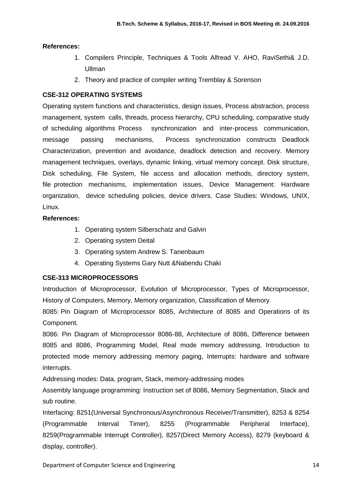## **References:**

- 1. Compilers Principle, Techniques & Tools Alfread V. AHO, RaviSethi& J.D. Ullman
- 2. Theory and practice of compiler writing Tremblay & Sorenson

## **CSE-312 OPERATING SYSTEMS**

Operating system functions and characteristics, design issues, Process abstraction, process management, system calls, threads, process hierarchy, CPU scheduling, comparative study of scheduling algorithms Process synchronization and inter-process communication, message passing mechanisms, Process synchronization constructs Deadlock Characterization, prevention and avoidance, deadlock detection and recovery. Memory management techniques, overlays, dynamic linking, virtual memory concept. Disk structure, Disk scheduling, File System, file access and allocation methods, directory system, file protection mechanisms, implementation issues, Device Management: Hardware organization, device scheduling policies, device drivers. Case Studies: Windows, UNIX, Linux.

## **References:**

- 1. Operating system Silberschatz and Galvin
- 2. Operating system Deital
- 3. Operating system Andrew S. Tanenbaum
- 4. Operating Systems Gary Nutt &Nabendu Chaki

## **CSE-313 MICROPROCESSORS**

Introduction of Microprocessor, Evolution of Microprocessor, Types of Microprocessor, History of Computers, Memory, Memory organization, Classification of Memory.

8085: Pin Diagram of Microprocessor 8085, Architecture of 8085 and Operations of its Component.

8086: Pin Diagram of Microprocessor 8086-88, Architecture of 8086, Difference between 8085 and 8086, Programming Model, Real mode memory addressing, Introduction to protected mode memory addressing memory paging, Interrupts: hardware and software interrupts.

Addressing modes: Data, program, Stack, memory-addressing modes

Assembly language programming: Instruction set of 8086, Memory Segmentation, Stack and sub routine.

Interfacing: 8251(Universal Synchronous/Asynchronous Receiver/Transmitter), 8253 & 8254 (Programmable Interval Timer), 8255 (Programmable Peripheral Interface), 8259(Programmable Interrupt Controller), 8257(Direct Memory Access), 8279 (keyboard & display, controller).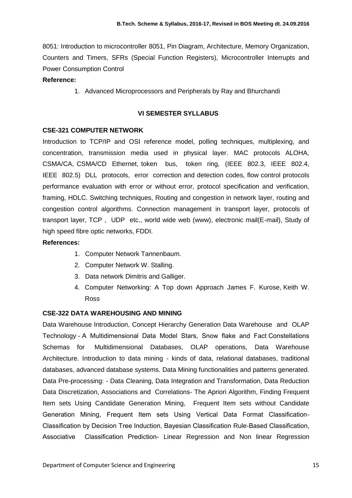8051: Introduction to microcontroller 8051, Pin Diagram, Architecture, Memory Organization, Counters and Timers, SFRs (Special Function Registers), Microcontroller Interrupts and Power Consumption Control

## **Reference:**

1. Advanced Microprocessors and Peripherals by Ray and Bhurchandi

## **VI SEMESTER SYLLABUS**

## **CSE-321 COMPUTER NETWORK**

Introduction to TCP/IP and OSI reference model, polling techniques, multiplexing, and concentration, transmission media used in physical layer. MAC protocols ALOHA, CSMA/CA, CSMA/CD Ethernet, token bus, token ring, (IEEE 802.3, IEEE 802.4, IEEE 802.5) DLL protocols, error correction and detection codes, flow control protocols performance evaluation with error or without error, protocol specification and verification, framing, HDLC. Switching techniques, Routing and congestion in network layer, routing and congestion control algorithms. Connection management in transport layer, protocols of transport layer, TCP , UDP etc., world wide web (www), electronic mail(E-mail), Study of high speed fibre optic networks, FDDI.

## **References:**

- 1. Computer Network Tannenbaum.
- 2. Computer Network W. Stalling.
- 3. Data network Dimitris and Galliger.
- 4. Computer Networking: A Top down Approach [James F. Kurose,](http://www.google.co.in/search?tbo=p&tbm=bks&q=inauthor:%22James+F.+Kurose%22) [Keith W.](http://www.google.co.in/search?tbo=p&tbm=bks&q=inauthor:%22Keith+W.+Ross%22)  [Ross](http://www.google.co.in/search?tbo=p&tbm=bks&q=inauthor:%22Keith+W.+Ross%22)

## **CSE-322 DATA WAREHOUSING AND MINING**

Data Warehouse Introduction, Concept Hierarchy Generation Data Warehouse and OLAP Technology - A Multidimensional Data Model Stars, Snow flake and Fact Constellations Schemas for Multidimensional Databases, OLAP operations, Data Warehouse Architecture. Introduction to data mining - kinds of data, relational databases, traditional databases, advanced database systems. Data Mining functionalities and patterns generated. Data Pre-processing: - Data Cleaning, Data Integration and Transformation, Data Reduction Data Discretization, Associations and Correlations- The Apriori Algorithm, Finding Frequent Item sets Using Candidate Generation Mining, Frequent Item sets without Candidate Generation Mining, Frequent Item sets Using Vertical Data Format Classification-Classification by Decision Tree Induction, Bayesian Classification Rule-Based Classification, Associative Classification Prediction- Linear Regression and Non linear Regression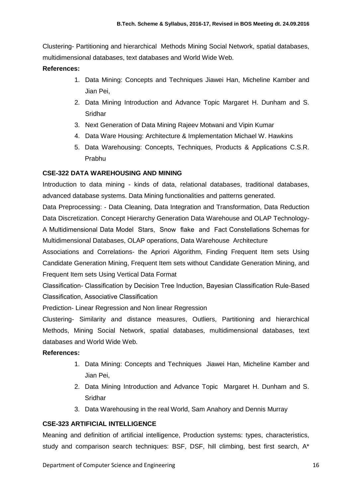Clustering- Partitioning and hierarchical Methods Mining Social Network, spatial databases, multidimensional databases, text databases and World Wide Web.

## **References:**

- 1. Data Mining: Concepts and Techniques Jiawei Han, Micheline Kamber and Jian Pei,
- 2. Data Mining Introduction and Advance Topic Margaret H. Dunham and S. **Sridhar**
- 3. Next Generation of Data Mining Rajeev Motwani and Vipin Kumar
- 4. Data Ware Housing: Architecture & Implementation Michael W. Hawkins
- 5. Data Warehousing: Concepts, Techniques, Products & Applications C.S.R. Prabhu

## **CSE-322 DATA WAREHOUSING AND MINING**

Introduction to data mining - kinds of data, relational databases, traditional databases, advanced database systems. Data Mining functionalities and patterns generated.

Data Preprocessing: - Data Cleaning, Data Integration and Transformation, Data Reduction Data Discretization. Concept Hierarchy Generation Data Warehouse and OLAP Technology-A Multidimensional Data Model Stars, Snow flake and Fact Constellations Schemas for Multidimensional Databases, OLAP operations, Data Warehouse Architecture

Associations and Correlations- the Apriori Algorithm, Finding Frequent Item sets Using Candidate Generation Mining, Frequent Item sets without Candidate Generation Mining, and Frequent Item sets Using Vertical Data Format

Classification- Classification by Decision Tree Induction, Bayesian Classification Rule-Based Classification, Associative Classification

Prediction- Linear Regression and Non linear Regression

Clustering- Similarity and distance measures, Outliers, Partitioning and hierarchical Methods, Mining Social Network, spatial databases, multidimensional databases, text databases and World Wide Web.

## **References:**

- 1. Data Mining: Concepts and Techniques Jiawei Han, Micheline Kamber and Jian Pei,
- 2. Data Mining Introduction and Advance Topic Margaret H. Dunham and S. **Sridhar**
- 3. Data Warehousing in the real World, Sam Anahory and Dennis Murray

## **CSE-323 ARTIFICIAL INTELLIGENCE**

Meaning and definition of artificial intelligence, Production systems: types, characteristics, study and comparison search techniques: BSF, DSF, hill climbing, best first search, A\*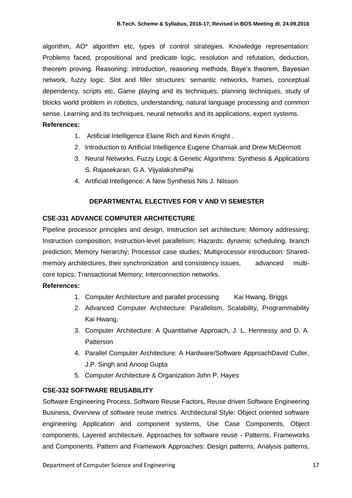algorithm, AO\* algorithm etc, types of control strategies. Knowledge representation: Problems faced, propositional and predicate logic, resolution and refutation, deduction, theorem proving. Reasoning: introduction, reasoning methods, Baye's theorem, Bayesian network, fuzzy logic. Slot and filler structures: semantic networks, frames, conceptual dependency, scripts etc. Game playing and its techniques, planning techniques, study of blocks world problem in robotics, understanding, natural language processing and common sense. Learning and its techniques, neural networks and its applications, expert systems.

### **References:**

- 1. Artificial Intelligence Elaine Rich and Kevin Knight .
- 2. Introduction to Artificial Intelligence Eugene Charniak and Drew McDermott
- 3. Neural Networks, Fuzzy Logic & Genetic Algorithms: Synthesis & Applications S. Rajasekaran, G.A. VijyalakshmiPai
- 4. Artificial Intelligence: A New Synthesis Nils J. Nilsson

## **DEPARTMENTAL ELECTIVES FOR V AND VI SEMESTER**

## **CSE-331 ADVANCE COMPUTER ARCHITECTURE**

Pipeline processor principles and design, Instruction set architecture; Memory addressing; Instruction composition; Instruction-level parallelism; Hazards: dynamic scheduling, branch prediction; Memory hierarchy; Processor case studies; Multiprocessor introduction: Sharedmemory architectures, their synchronization and consistency issues, advanced multicore topics; Transactional Memory; Interconnection networks.

## **References:**

- 1. Computer Architecture and parallel processing Kai Hwang, Briggs
- 2. Advanced Computer Architecture: Parallelism, Scalability, Programmability Kai Hwang,
- 3. Computer Architecture: A Quantitative Approach, J. L. Hennessy and D. A. Patterson
- 4. Parallel Computer Architecture: A Hardware/Software ApproachDavid Culler, J.P. Singh and Anoop Gupta
- 5. Computer Architecture & Organization John P. Hayes

## **CSE-332 SOFTWARE REUSABILITY**

Software Engineering Process, Software Reuse Factors, Reuse driven Software Engineering Business, Overview of software reuse metrics. Architectural Style: Object oriented software engineering Application and component systems, Use Case Components, Object components, Layered architecture. Approaches for software reuse - Patterns, Frameworks and Components. Pattern and Framework Approaches: Design patterns, Analysis patterns,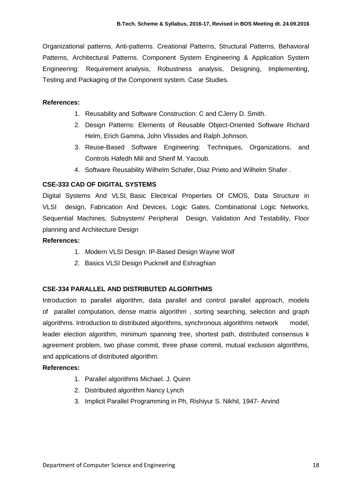Organizational patterns, Anti-patterns. Creational Patterns, Structural Patterns, Behavioral Patterns, Architectural Patterns. Component System Engineering & Application System Engineering: Requirement analysis, Robustness analysis, Designing, Implementing, Testing and Packaging of the Component system. Case Studies.

#### **References:**

- 1. Reusability and Software Construction: C and [CJerry D. Smith.](http://www.amazon.com/Jerry-D.-Smith/e/B001HQ4TAS/ref=sr_ntt_srch_lnk_1?qid=1329198803&sr=1-1)
- 2. [Design Patterns: Elements of Reusable Object-Oriented Software](http://www.amazon.com/Design-Patterns-Elements-Reusable-Object-Oriented/dp/0201633612/ref=sr_1_3?s=books&ie=UTF8&qid=1329198803&sr=1-3) [Richard](http://www.amazon.com/Richard-Helm/e/B000AQ1ZP8/ref=sr_ntt_srch_lnk_3?qid=1329198803&sr=1-3)  [Helm, Erich Gamma, John Vlissides an](http://www.amazon.com/Richard-Helm/e/B000AQ1ZP8/ref=sr_ntt_srch_lnk_3?qid=1329198803&sr=1-3)d [Ralph Johnson.](http://www.amazon.com/Ralph-Johnson/e/B000AQ6RMY/ref=sr_ntt_srch_lnk_3?qid=1329198803&sr=1-3)
- 3. [Reuse-Based Software Engineering: Techniques, Organizations, and](http://www.amazon.com/Reuse-Based-Software-Engineering-Techniques-Organizations/dp/0471398195/ref=sr_1_8?s=books&ie=UTF8&qid=1329198803&sr=1-8)  [Controls](http://www.amazon.com/Reuse-Based-Software-Engineering-Techniques-Organizations/dp/0471398195/ref=sr_1_8?s=books&ie=UTF8&qid=1329198803&sr=1-8) [Hafedh Mili and](http://www.amazon.com/Hafedh-Mili/e/B001H6NNH8/ref=sr_ntt_srch_lnk_8?qid=1329198803&sr=1-8) [Sherif M. Yacoub.](http://www.amazon.com/Sherif-M.-Yacoub/e/B001H6WZKE/ref=sr_ntt_srch_lnk_8?qid=1329198803&sr=1-8)
- 4. Software Reusability [Wilhelm Schafer, Diaz Prieto a](http://www.amazon.com/s/ref=ntt_athr_dp_sr_1?_encoding=UTF8&sort=relevancerank&search-alias=books&ie=UTF8&field-author=Wilhelm%20Schafer)[nd Wilhelm Shafer .](http://www.amazon.com/s/ref=ntt_athr_dp_sr_3?_encoding=UTF8&sort=relevancerank&search-alias=books&ie=UTF8&field-author=Wilhelm%20Shafer)

## **CSE-333 CAD OF DIGITAL SYSTEMS**

Digital Systems And VLSI, Basic Electrical Properties Of CMOS, Data Structure in VLSI design, Fabrication And Devices, Logic Gates, Combinational Logic Networks, Sequential Machines, Subsystem/ Peripheral Design, Validation And Testability, Floor planning and Architecture Design

#### **References:**

- 1. Modern VLSI Design: IP-Based Design Wayne Wolf
- 2. Basics VLSI Design Pucknell and Eshraghian

## **CSE-334 PARALLEL AND DISTRIBUTED ALGORITHMS**

Introduction to parallel algorithm, data parallel and control parallel approach, models of parallel computation, dense matrix algorithm , sorting searching, selection and graph algorithms. Introduction to distributed algorithms, synchronous algorithms network model, leader election algorithm, minimum spanning tree, shortest path, distributed consensus k agreement problem, two phase commit, three phase commit, mutual exclusion algorithms, and applications of distributed algorithm.

#### **References:**

- 1. Parallel algorithms Michael. J. Quinn
- 2. Distributed algorithm Nancy Lynch
- 3. Implicit Parallel Programming in Ph, [Rishiyur S. Nikhil,](http://www.google.co.in/search?tbo=p&tbm=bks&q=inauthor:%22Rishiyur+S.+Nikhil%22) 1947- [Arvind](http://www.google.co.in/search?tbo=p&tbm=bks&q=inauthor:%221947-+Arvind%22)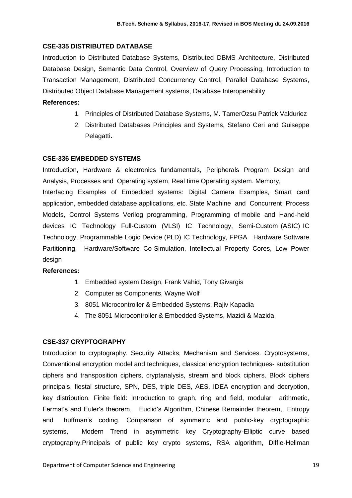#### **CSE-335 DISTRIBUTED DATABASE**

Introduction to Distributed Database Systems, Distributed DBMS Architecture, Distributed Database Design, Semantic Data Control, Overview of Query Processing, Introduction to Transaction Management, Distributed Concurrency Control, Parallel Database Systems, Distributed Object Database Management systems, Database Interoperability

#### **References:**

- 1. Principles of Distributed Database Systems, M. TamerOzsu Patrick Valduriez
- 2. Distributed Databases Principles and Systems, Stefano Ceri and Guiseppe Pelagatti**.**

### **CSE-336 EMBEDDED SYSTEMS**

Introduction, Hardware & electronics fundamentals, Peripherals Program Design and Analysis, Processes and Operating system, Real time Operating system. Memory,

Interfacing Examples of Embedded systems: Digital Camera Examples, Smart card application, embedded database applications, etc. State Machine and Concurrent Process Models, Control Systems Verilog programming, Programming of mobile and Hand-held devices IC Technology Full-Custom (VLSI) IC Technology, Semi-Custom (ASIC) IC Technology, Programmable Logic Device (PLD) IC Technology, FPGA Hardware Software Partitioning, Hardware/Software Co-Simulation, Intellectual Property Cores, Low Power design

#### **References:**

- 1. Embedded system Design, Frank Vahid, Tony Givargis
- 2. Computer as Components, Wayne Wolf
- 3. 8051 Microcontroller & Embedded Systems, Rajiv Kapadia
- 4. The 8051 Microcontroller & Embedded Systems, Mazidi & Mazida

## **CSE-337 CRYPTOGRAPHY**

Introduction to cryptography. Security Attacks, Mechanism and Services. Cryptosystems, Conventional encryption model and techniques, classical encryption techniques- substitution ciphers and transposition ciphers, cryptanalysis, stream and block ciphers. Block ciphers principals, fiestal structure, SPN, DES, triple DES, AES, IDEA encryption and decryption, key distribution. Finite field: Introduction to graph, ring and field, modular arithmetic, Fermat's and Euler's theorem, Euclid's Algorithm, Chinese Remainder theorem, Entropy and huffman's coding, Comparison of symmetric and public-key cryptographic systems, Modern Trend in asymmetric key Cryptography-Elliptic curve based cryptography,Principals of public key crypto systems, RSA algorithm, Diffle-Hellman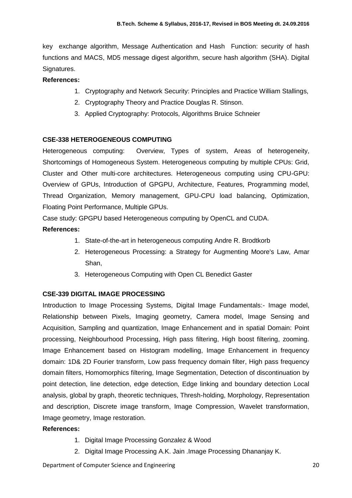key exchange algorithm, Message Authentication and Hash Function: security of hash functions and MACS, MD5 message digest algorithm, secure hash algorithm (SHA). Digital Signatures.

## **References:**

- 1. Cryptography and Network Security: Principles and Practice William Stallings,
- 2. Cryptography Theory and Practice Douglas R. Stinson.
- 3. Applied Cryptography: Protocols, Algorithms Bruice Schneier

## **CSE-338 HETEROGENEOUS COMPUTING**

Heterogeneous computing: Overview, Types of system, Areas of heterogeneity, Shortcomings of Homogeneous System. Heterogeneous computing by multiple CPUs: Grid, Cluster and Other multi-core architectures. Heterogeneous computing using CPU-GPU: Overview of GPUs, Introduction of GPGPU, Architecture, Features, Programming model, Thread Organization, Memory management, GPU-CPU load balancing, Optimization, Floating Point Performance, Multiple GPUs.

Case study: GPGPU based Heterogeneous computing by OpenCL and CUDA.

## **References:**

- 1. State-of-the-art in heterogeneous computing Andre R. Brodtkorb
- 2. Heterogeneous Processing: a Strategy for Augmenting Moore's Law, [Amar](http://www.linuxjournal.com/user/801584)  [Shan,](http://www.linuxjournal.com/user/801584)
- 3. Heterogeneous Computing with Open CL Benedict Gaster

## **CSE-339 DIGITAL IMAGE PROCESSING**

Introduction to Image Processing Systems, Digital Image Fundamentals:- Image model, Relationship between Pixels, Imaging geometry, Camera model, Image Sensing and Acquisition, Sampling and quantization, Image Enhancement and in spatial Domain: Point processing, Neighbourhood Processing, High pass filtering, High boost filtering, zooming. Image Enhancement based on Histogram modelling, Image Enhancement in frequency domain: 1D& 2D Fourier transform, Low pass frequency domain filter, High pass frequency domain filters, Homomorphics filtering, Image Segmentation, Detection of discontinuation by point detection, line detection, edge detection, Edge linking and boundary detection Local analysis, global by graph, theoretic techniques, Thresh-holding, Morphology, Representation and description, Discrete image transform, Image Compression, Wavelet transformation, Image geometry, Image restoration.

## **References:**

- 1. Digital Image Processing Gonzalez & Wood
- 2. Digital Image Processing A.K. Jain .Image Processing Dhananjay K.

Department of Computer Science and Engineering 20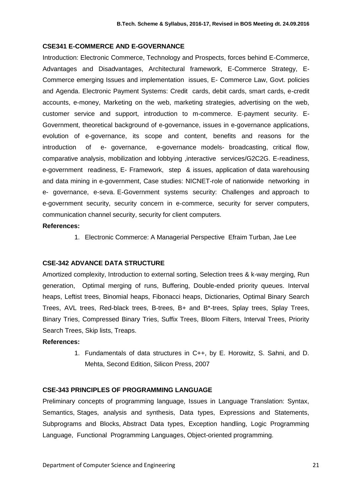#### **CSE341 E-COMMERCE AND E-GOVERNANCE**

Introduction: Electronic Commerce, Technology and Prospects, forces behind E-Commerce, Advantages and Disadvantages, Architectural framework, E-Commerce Strategy, E-Commerce emerging Issues and implementation issues, E- Commerce Law, Govt. policies and Agenda. Electronic Payment Systems: Credit cards, debit cards, smart cards, e-credit accounts, e-money, Marketing on the web, marketing strategies, advertising on the web, customer service and support, introduction to m-commerce. E-payment security. E-Government, theoretical background of e-governance, issues in e-governance applications, evolution of e-governance, its scope and content, benefits and reasons for the introduction of e- governance, e-governance models- broadcasting, critical flow, comparative analysis, mobilization and lobbying ,interactive services/G2C2G. E-readiness, e-government readiness, E- Framework, step & issues, application of data warehousing and data mining in e-government, Case studies: NICNET-role of nationwide networking in e- governance, e-seva. E-Government systems security: Challenges and approach to e-government security, security concern in e-commerce, security for server computers, communication channel security, security for client computers.

#### **References:**

1. Electronic Commerce: A Managerial Perspective Efraim Turban, Jae Lee

#### **CSE-342 ADVANCE DATA STRUCTURE**

Amortized complexity, Introduction to external sorting, Selection trees & k-way merging, Run generation, Optimal merging of runs, Buffering, Double-ended priority queues. Interval heaps, Leftist trees, Binomial heaps, Fibonacci heaps, Dictionaries, Optimal Binary Search Trees, AVL trees, Red-black trees, B-trees, B+ and B\*-trees, Splay trees, Splay Trees, Binary Tries, Compressed Binary Tries, Suffix Trees, Bloom Filters, Interval Trees, Priority Search Trees, Skip lists, Treaps.

#### **References:**

1. Fundamentals of data structures in C++, by E. Horowitz, S. Sahni, and D. Mehta, Second Edition, Silicon Press, 2007

#### **CSE-343 PRINCIPLES OF PROGRAMMING LANGUAGE**

Preliminary concepts of programming language, Issues in Language Translation: Syntax, Semantics, Stages, analysis and synthesis, Data types, Expressions and Statements, Subprograms and Blocks, Abstract Data types, Exception handling, Logic Programming Language, Functional Programming Languages, Object-oriented programming.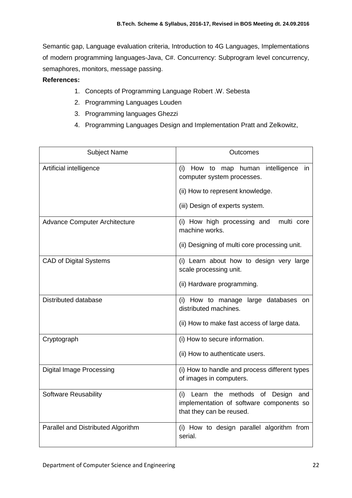Semantic gap, Language evaluation criteria, Introduction to 4G Languages, Implementations of modern programming languages-Java, C#. Concurrency: Subprogram level concurrency, semaphores, monitors, message passing.

## **References:**

- 1. Concepts of Programming Language Robert .W. Sebesta
- 2. Programming Languages Louden
- 3. Programming languages Ghezzi
- 4. Programming Languages Design and Implementation Pratt and Zelkowitz,

| <b>Subject Name</b>                  | Outcomes                                                                                                                                         |
|--------------------------------------|--------------------------------------------------------------------------------------------------------------------------------------------------|
| Artificial intelligence              | intelligence<br>(i) How to map human<br>in.<br>computer system processes.<br>(ii) How to represent knowledge.<br>(iii) Design of experts system. |
| <b>Advance Computer Architecture</b> | (i) How high processing and<br>multi core<br>machine works.<br>(ii) Designing of multi core processing unit.                                     |
| <b>CAD of Digital Systems</b>        | (i) Learn about how to design very large<br>scale processing unit.<br>(ii) Hardware programming.                                                 |
| Distributed database                 | (i) How to manage large databases<br>on<br>distributed machines.<br>(ii) How to make fast access of large data.                                  |
| Cryptograph                          | (i) How to secure information.<br>(ii) How to authenticate users.                                                                                |
| <b>Digital Image Processing</b>      | (i) How to handle and process different types<br>of images in computers.                                                                         |
| <b>Software Reusability</b>          | (i) Learn the methods of Design and<br>implementation of software components so<br>that they can be reused.                                      |
| Parallel and Distributed Algorithm   | (i) How to design parallel algorithm from<br>serial.                                                                                             |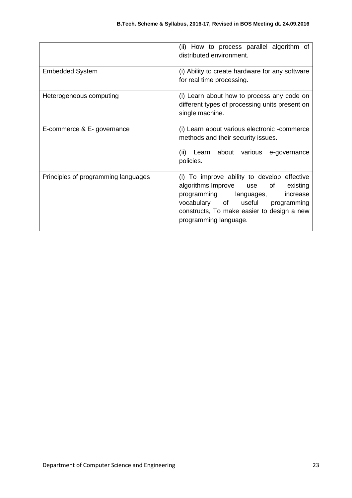|                                     | (ii) How to process parallel algorithm of<br>distributed environment.                                                                                                                                                                  |
|-------------------------------------|----------------------------------------------------------------------------------------------------------------------------------------------------------------------------------------------------------------------------------------|
| <b>Embedded System</b>              | (i) Ability to create hardware for any software<br>for real time processing.                                                                                                                                                           |
| Heterogeneous computing             | (i) Learn about how to process any code on<br>different types of processing units present on<br>single machine.                                                                                                                        |
| E-commerce & E- governance          | (i) Learn about various electronic -commerce<br>methods and their security issues.<br>(ii) Learn about various e-governance<br>policies.                                                                                               |
| Principles of programming languages | (i) To improve ability to develop effective<br>algorithms, Improve use of<br>existing<br>programming languages,<br>increase<br>vocabulary of useful programming<br>constructs, To make easier to design a new<br>programming language. |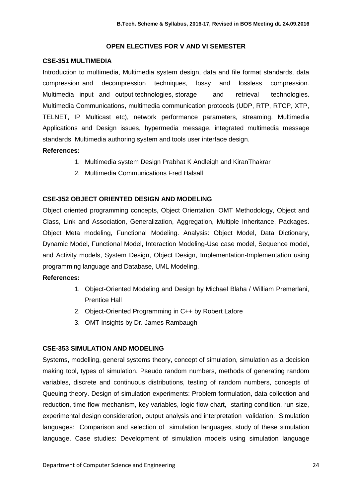### **OPEN ELECTIVES FOR V AND VI SEMESTER**

#### **CSE-351 MULTIMEDIA**

Introduction to multimedia, Multimedia system design, data and file format standards, data compression and decompression techniques, lossy and lossless compression. Multimedia input and output technologies, storage and retrieval technologies. Multimedia Communications, multimedia communication protocols (UDP, RTP, RTCP, XTP, TELNET, IP Multicast etc), network performance parameters, streaming. Multimedia Applications and Design issues, hypermedia message, integrated multimedia message standards. Multimedia authoring system and tools user interface design.

## **References:**

- 1. Multimedia system Design Prabhat K Andleigh and KiranThakrar
- 2. Multimedia Communications Fred Halsall

## **CSE-352 OBJECT ORIENTED DESIGN AND MODELING**

Object oriented programming concepts, Object Orientation, OMT Methodology, Object and Class, Link and Association, Generalization, Aggregation, Multiple Inheritance, Packages. Object Meta modeling, Functional Modeling. Analysis: Object Model, Data Dictionary, Dynamic Model, Functional Model, Interaction Modeling-Use case model, Sequence model, and Activity models, System Design, Object Design, Implementation-Implementation using programming language and Database, UML Modeling.

## **References:**

- 1. Object-Oriented Modeling and Design by Michael Blaha / William Premerlani, Prentice Hall
- 2. Object-Oriented Programming in C++ by Robert Lafore
- 3. OMT Insights by Dr. James Rambaugh

## **CSE-353 SIMULATION AND MODELING**

Systems, modelling, general systems theory, concept of simulation, simulation as a decision making tool, types of simulation. Pseudo random numbers, methods of generating random variables, discrete and continuous distributions, testing of random numbers, concepts of Queuing theory. Design of simulation experiments: Problem formulation, data collection and reduction, time flow mechanism, key variables, logic flow chart, starting condition, run size, experimental design consideration, output analysis and interpretation validation. Simulation languages: Comparison and selection of simulation languages, study of these simulation language. Case studies: Development of simulation models using simulation language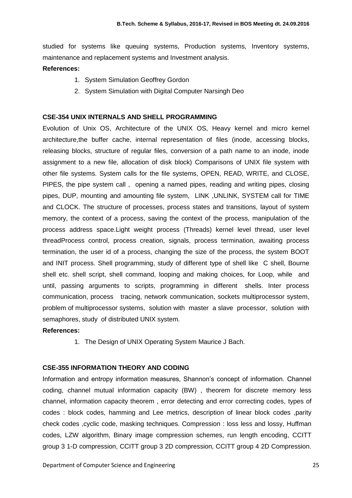studied for systems like queuing systems, Production systems, Inventory systems, maintenance and replacement systems and Investment analysis.

## **References:**

- 1. System Simulation Geoffrey Gordon
- 2. System Simulation with Digital Computer Narsingh Deo

## **CSE-354 UNIX INTERNALS AND SHELL PROGRAMMING**

Evolution of Unix OS, Architecture of the UNIX OS, Heavy kernel and micro kernel architecture,the buffer cache, internal representation of files (inode, accessing blocks, releasing blocks, structure of regular files, conversion of a path name to an inode, inode assignment to a new file, allocation of disk block) Comparisons of UNIX file system with other file systems. System calls for the file systems, OPEN, READ, WRITE, and CLOSE, PIPES, the pipe system call , opening a named pipes, reading and writing pipes, closing pipes, DUP, mounting and amounting file system, LINK ,UNLINK, SYSTEM call for TIME and CLOCK. The structure of processes, process states and transitions, layout of system memory, the context of a process, saving the context of the process, manipulation of the process address space.Light weight process (Threads) kernel level thread, user level threadProcess control, process creation, signals, process termination, awaiting process termination, the user id of a process, changing the size of the process, the system BOOT and INIT process. Shell programming, study of different type of shell like C shell, Bourne shell etc. shell script, shell command, looping and making choices, for Loop, while and until, passing arguments to scripts, programming in different shells. Inter process communication, process tracing, network communication, sockets multiprocessor system, problem of multiprocessor systems, solution with master a slave processor, solution with semaphores, study of distributed UNIX system.

## **References:**

1. The Design of UNIX Operating System Maurice J Bach.

## **CSE-355 INFORMATION THEORY AND CODING**

Information and entropy information measures, Shannon's concept of information. Channel coding, channel mutual information capacity (BW) , theorem for discrete memory less channel, information capacity theorem , error detecting and error correcting codes, types of codes : block codes, hamming and Lee metrics, description of linear block codes ,parity check codes ,cyclic code, masking techniques. Compression : loss less and lossy, Huffman codes, LZW algorithm, Binary image compression schemes, run length encoding, CCITT group 3 1-D compression, CCITT group 3 2D compression, CCITT group 4 2D Compression.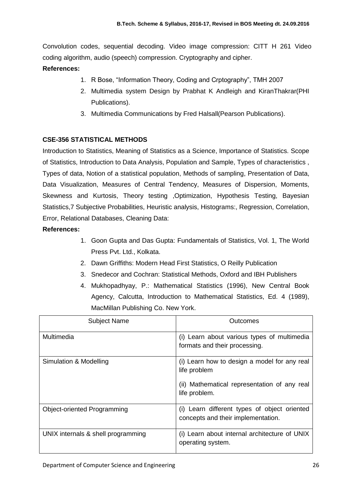Convolution codes, sequential decoding. Video image compression: CITT H 261 Video coding algorithm, audio (speech) compression. Cryptography and cipher. **References:**

## 1. R Bose, "Information Theory, Coding and Crptography", TMH 2007

- 2. Multimedia system Design by Prabhat K Andleigh and KiranThakrar(PHI Publications).
- 3. Multimedia Communications by Fred Halsall(Pearson Publications).

## **CSE-356 STATISTICAL METHODS**

Introduction to Statistics, Meaning of Statistics as a Science, Importance of Statistics. Scope of Statistics, Introduction to Data Analysis, Population and Sample, Types of characteristics , Types of data, Notion of a statistical population, Methods of sampling, Presentation of Data, Data Visualization, Measures of Central Tendency, Measures of Dispersion, Moments, Skewness and Kurtosis, Theory testing ,Optimization, Hypothesis Testing, Bayesian Statistics,7 Subjective Probabilities, Heuristic analysis, Histograms:, Regression, Correlation, Error, Relational Databases, Cleaning Data:

## **References:**

- 1. Goon Gupta and Das Gupta: Fundamentals of Statistics, Vol. 1, The World Press Pvt. Ltd., Kolkata.
- 2. Dawn Griffiths: Modern Head First Statistics, O Reilly Publication
- 3. Snedecor and Cochran: Statistical Methods, Oxford and IBH Publishers
- 4. Mukhopadhyay, P.: Mathematical Statistics (1996), New Central Book Agency, Calcutta, Introduction to Mathematical Statistics, Ed. 4 (1989), MacMillan Publishing Co. New York.

| <b>Subject Name</b>                | Outcomes                                                                                                                      |
|------------------------------------|-------------------------------------------------------------------------------------------------------------------------------|
| Multimedia                         | (i) Learn about various types of multimedia<br>formats and their processing.                                                  |
| Simulation & Modelling             | (i) Learn how to design a model for any real<br>life problem<br>(ii) Mathematical representation of any real<br>life problem. |
| <b>Object-oriented Programming</b> | (i) Learn different types of object oriented<br>concepts and their implementation.                                            |
| UNIX internals & shell programming | (i) Learn about internal architecture of UNIX<br>operating system.                                                            |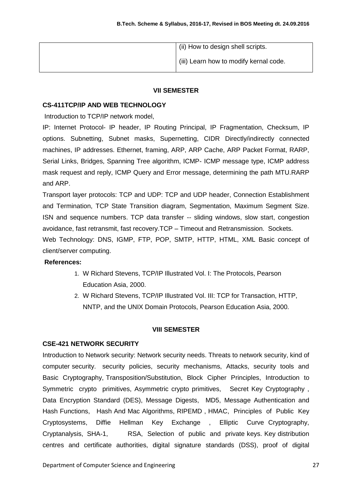| (ii) How to design shell scripts.      |
|----------------------------------------|
| (iii) Learn how to modify kernal code. |

## **VII SEMESTER**

## **CS-411TCP/IP AND WEB TECHNOLOGY**

Introduction to TCP/IP network model,

IP: Internet Protocol- IP header, IP Routing Principal, IP Fragmentation, Checksum, IP options. Subnetting, Subnet masks, Supernetting, CIDR Directly/indirectly connected machines, IP addresses. Ethernet, framing, ARP, ARP Cache, ARP Packet Format, RARP, Serial Links, Bridges, Spanning Tree algorithm, ICMP- ICMP message type, ICMP address mask request and reply, ICMP Query and Error message, determining the path MTU.RARP and ARP.

Transport layer protocols: TCP and UDP: TCP and UDP header, Connection Establishment and Termination, TCP State Transition diagram, Segmentation, Maximum Segment Size. ISN and sequence numbers. TCP data transfer -- sliding windows, slow start, congestion avoidance, fast retransmit, fast recovery.TCP – Timeout and Retransmission. Sockets.

Web Technology: DNS, IGMP, FTP, POP, SMTP, HTTP, HTML, XML Basic concept of client/server computing.

## **References:**

- 1. W Richard Stevens, TCP/IP Illustrated Vol. I: The Protocols, Pearson Education Asia, 2000.
- 2. W Richard Stevens, TCP/IP Illustrated Vol. III: TCP for Transaction, HTTP, NNTP, and the UNIX Domain Protocols, Pearson Education Asia, 2000.

## **VIII SEMESTER**

## **CSE-421 NETWORK SECURITY**

Introduction to Network security: Network security needs. Threats to network security, kind of computer security. security policies, security mechanisms, Attacks, security tools and Basic Cryptography, Transposition/Substitution, Block Cipher Principles, Introduction to Symmetric crypto primitives, Asymmetric crypto primitives, Secret Key Cryptography , Data Encryption Standard (DES), Message Digests, MD5, Message Authentication and Hash Functions, Hash And Mac Algorithms, RIPEMD , HMAC, Principles of Public Key Cryptosystems, Diffie Hellman Key Exchange , Elliptic Curve Cryptography, Cryptanalysis, SHA-1, RSA, Selection of public and private keys. Key distribution centres and certificate authorities, digital signature standards (DSS), proof of digital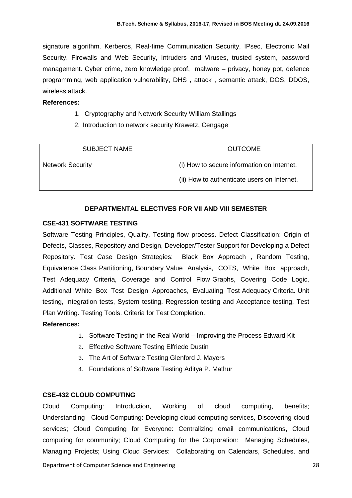signature algorithm. Kerberos, Real-time Communication Security, IPsec, Electronic Mail Security. Firewalls and Web Security, Intruders and Viruses, trusted system, password management. Cyber crime, zero knowledge proof, malware – privacy, honey pot, defence programming, web application vulnerability, DHS , attack , semantic attack, DOS, DDOS, wireless attack.

#### **References:**

- 1. Cryptography and Network Security William Stallings
- 2. Introduction to network security Krawetz, Cengage

| <b>SUBJECT NAME</b>     | <b>OUTCOME</b>                              |
|-------------------------|---------------------------------------------|
| <b>Network Security</b> | (i) How to secure information on Internet.  |
|                         | (ii) How to authenticate users on Internet. |

## **DEPARTMENTAL ELECTIVES FOR VII AND VIII SEMESTER**

### **CSE-431 SOFTWARE TESTING**

Software Testing Principles, Quality, Testing flow process. Defect Classification: Origin of Defects, Classes, Repository and Design, Developer/Tester Support for Developing a Defect Repository. Test Case Design Strategies: Black Box Approach , Random Testing, Equivalence Class Partitioning, Boundary Value Analysis, COTS, White Box approach, Test Adequacy Criteria, Coverage and Control Flow Graphs, Covering Code Logic, Additional White Box Test Design Approaches, Evaluating Test Adequacy Criteria. Unit testing, Integration tests, System testing, Regression testing and Acceptance testing, Test Plan Writing. Testing Tools. Criteria for Test Completion.

## **References:**

- 1. Software Testing in the Real World Improving the Process Edward Kit
- 2. Effective Software Testing Elfriede Dustin
- 3. The Art of Software Testing Glenford J. Mayers
- 4. Foundations of Software Testing [Aditya P. Mathur](http://www.google.co.in/search?tbo=p&tbm=bks&q=inauthor:%22Aditya+P.+Mathur%22)

## **CSE-432 CLOUD COMPUTING**

Cloud Computing: Introduction, Working of cloud computing, benefits; Understanding Cloud Computing: Developing cloud computing services, Discovering cloud services; Cloud Computing for Everyone: Centralizing email communications, Cloud computing for community; Cloud Computing for the Corporation: Managing Schedules, Managing Projects; Using Cloud Services: Collaborating on Calendars, Schedules, and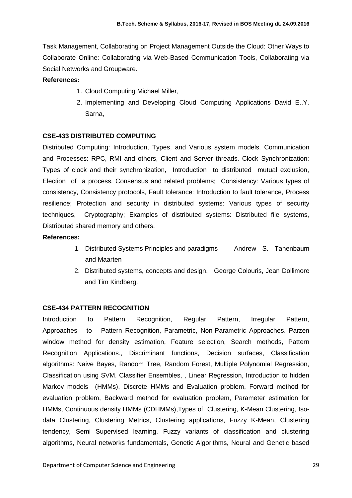Task Management, Collaborating on Project Management Outside the Cloud: Other Ways to Collaborate Online: Collaborating via Web-Based Communication Tools, Collaborating via Social Networks and Groupware.

## **References:**

- 1. Cloud Computing Michael Miller,
- 2. Implementing and Developing Cloud Computing Applications David E.,Y. Sarna,

## **CSE-433 DISTRIBUTED COMPUTING**

Distributed Computing: Introduction, Types, and Various system models. Communication and Processes: RPC, RMI and others, Client and Server threads. Clock Synchronization: Types of clock and their synchronization, Introduction to distributed mutual exclusion, Election of a process, Consensus and related problems; Consistency: Various types of consistency, Consistency protocols, Fault tolerance: Introduction to fault tolerance, Process resilience; Protection and security in distributed systems: Various types of security techniques, Cryptography; Examples of distributed systems: Distributed file systems, Distributed shared memory and others.

## **References:**

- 1. Distributed Systems Principles and paradigms Andrew S. Tanenbaum and Maarten
- 2. Distributed systems, concepts and design, George Colouris, Jean Dollimore and Tim Kindberg.

## **CSE-434 PATTERN RECOGNITION**

Introduction to Pattern Recognition, Regular Pattern, Irregular Pattern, Approaches to Pattern Recognition, Parametric, Non-Parametric Approaches. Parzen window method for density estimation, Feature selection, Search methods, Pattern Recognition Applications., Discriminant functions, Decision surfaces, Classification algorithms: Naive Bayes, Random Tree, Random Forest, Multiple Polynomial Regression, Classification using SVM. Classifier Ensembles, , Linear Regression, Introduction to hidden Markov models (HMMs), Discrete HMMs and Evaluation problem, Forward method for evaluation problem, Backward method for evaluation problem, Parameter estimation for HMMs, Continuous density HMMs (CDHMMs),Types of Clustering, K-Mean Clustering, Isodata Clustering, Clustering Metrics, Clustering applications, Fuzzy K-Mean, Clustering tendency, Semi Supervised learning. Fuzzy variants of classification and clustering algorithms, Neural networks fundamentals, Genetic Algorithms, Neural and Genetic based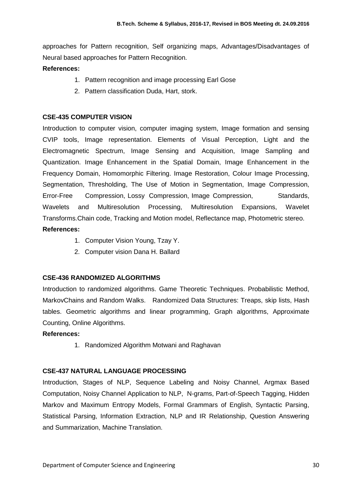approaches for Pattern recognition, Self organizing maps, Advantages/Disadvantages of Neural based approaches for Pattern Recognition.

## **References:**

- 1. Pattern recognition and image processing Earl Gose
- 2. Pattern classification Duda, Hart, stork.

### **CSE-435 COMPUTER VISION**

Introduction to computer vision, computer imaging system, Image formation and sensing CVIP tools, Image representation. Elements of Visual Perception, Light and the Electromagnetic Spectrum, Image Sensing and Acquisition, Image Sampling and Quantization. Image Enhancement in the Spatial Domain, Image Enhancement in the Frequency Domain, Homomorphic Filtering. Image Restoration, Colour Image Processing, Segmentation, Thresholding, The Use of Motion in Segmentation, Image Compression, Error-Free Compression, Lossy Compression, Image Compression, Standards, Wavelets and Multiresolution Processing, Multiresolution Expansions, Wavelet Transforms.Chain code, Tracking and Motion model, Reflectance map, Photometric stereo. **References:**

- 1. Computer Vision Young, Tzay Y.
- 2. Computer vision [Dana H. Ballard](http://www.amazon.com/s/ref=ntt_athr_dp_sr_1?_encoding=UTF8&sort=relevancerank&search-alias=books&ie=UTF8&field-author=Dana%20H.%20Ballard)

## **CSE-436 RANDOMIZED ALGORITHMS**

Introduction to randomized algorithms. Game Theoretic Techniques. Probabilistic Method, MarkovChains and Random Walks. Randomized Data Structures: Treaps, skip lists, Hash tables. Geometric algorithms and linear programming, Graph algorithms, Approximate Counting, Online Algorithms.

## **References:**

1. Randomized Algorithm Motwani and Raghavan

## **CSE-437 NATURAL LANGUAGE PROCESSING**

Introduction, Stages of NLP, Sequence Labeling and Noisy Channel, Argmax Based Computation, Noisy Channel Application to NLP, N-grams, Part-of-Speech Tagging, Hidden Markov and Maximum Entropy Models, Formal Grammars of English, Syntactic Parsing, Statistical Parsing, Information Extraction, NLP and IR Relationship, Question Answering and Summarization, Machine Translation.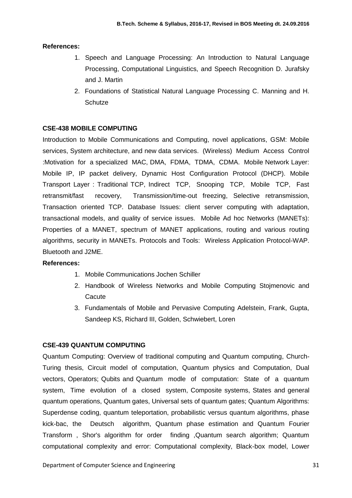## **References:**

- 1. Speech and Language Processing: An Introduction to Natural Language Processing, Computational Linguistics, and Speech Recognition D. Jurafsky and J. Martin
- 2. Foundations of Statistical Natural Language Processing C. Manning and H. **Schutze**

## **CSE-438 MOBILE COMPUTING**

Introduction to Mobile Communications and Computing, novel applications, GSM: Mobile services, System architecture, and new data services. (Wireless) Medium Access Control :Motivation for a specialized MAC, DMA, FDMA, TDMA, CDMA. Mobile Network Layer: Mobile IP, IP packet delivery, Dynamic Host Configuration Protocol (DHCP). Mobile Transport Layer : Traditional TCP, Indirect TCP, Snooping TCP, Mobile TCP, Fast retransmit/fast recovery, Transmission/time-out freezing, Selective retransmission, Transaction oriented TCP. Database Issues: client server computing with adaptation, transactional models, and quality of service issues. Mobile Ad hoc Networks (MANETs): Properties of a MANET, spectrum of MANET applications, routing and various routing algorithms, security in MANETs. Protocols and Tools: Wireless Application Protocol-WAP. Bluetooth and J2ME.

## **References:**

- 1. Mobile Communications Jochen Schiller
- 2. Handbook of Wireless Networks and Mobile Computing Stojmenovic and **Cacute**
- 3. Fundamentals of Mobile and Pervasive Computing Adelstein, Frank, Gupta, Sandeep KS, Richard III, Golden, Schwiebert, Loren

## **CSE-439 QUANTUM COMPUTING**

Quantum Computing: Overview of traditional computing and Quantum computing, Church-Turing thesis, Circuit model of computation, Quantum physics and Computation, Dual vectors, Operators; Qubits and Quantum modle of computation: State of a quantum system, Time evolution of a closed system, Composite systems, States and general quantum operations, Quantum gates, Universal sets of quantum gates; Quantum Algorithms: Superdense coding, quantum teleportation, probabilistic versus quantum algorithms, phase kick-bac, the Deutsch algorithm, Quantum phase estimation and Quantum Fourier Transform , Shor's algorithm for order finding ,Quantum search algorithm; Quantum computational complexity and error: Computational complexity, Black-box model, Lower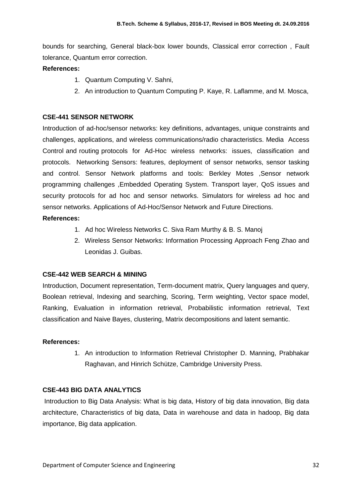bounds for searching, General black-box lower bounds, Classical error correction , Fault tolerance, Quantum error correction.

## **References:**

- 1. Quantum Computing V. Sahni,
- 2. An introduction to Quantum Computing P. Kaye, R. Laflamme, and M. Mosca,

## **CSE-441 SENSOR NETWORK**

Introduction of ad-hoc/sensor networks: key definitions, advantages, unique constraints and challenges, applications, and wireless communications/radio characteristics. Media Access Control and routing protocols for Ad-Hoc wireless networks: issues, classification and protocols. Networking Sensors: features, deployment of sensor networks, sensor tasking and control. Sensor Network platforms and tools: Berkley Motes ,Sensor network programming challenges ,Embedded Operating System. Transport layer, QoS issues and security protocols for ad hoc and sensor networks. Simulators for wireless ad hoc and sensor networks. Applications of Ad-Hoc/Sensor Network and Future Directions.

## **References:**

- 1. Ad hoc Wireless Networks C. Siva Ram Murthy & B. S. Manoj
- 2. Wireless Sensor Networks: Information Processing Approach Feng Zhao and Leonidas J. Guibas.

## **CSE-442 WEB SEARCH & MINING**

Introduction, Document representation, Term-document matrix, Query languages and query, Boolean retrieval, Indexing and searching, Scoring, Term weighting, Vector space model, Ranking, Evaluation in information retrieval, Probabilistic information retrieval, Text classification and Naive Bayes, clustering, Matrix decompositions and latent semantic.

## **References:**

1. An introduction to Information Retrieval Christopher D. Manning, Prabhakar Raghavan, and Hinrich Schütze, Cambridge University Press.

## **CSE-443 BIG DATA ANALYTICS**

Introduction to Big Data Analysis: What is big data, History of big data innovation, Big data architecture, Characteristics of big data, Data in warehouse and data in hadoop, Big data importance, Big data application.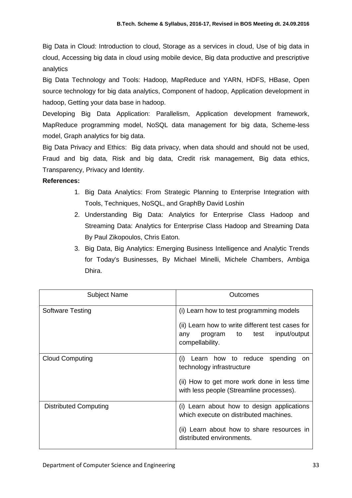Big Data in Cloud: Introduction to cloud, Storage as a services in cloud, Use of big data in cloud, Accessing big data in cloud using mobile device, Big data productive and prescriptive analytics

Big Data Technology and Tools: Hadoop, MapReduce and YARN, HDFS, HBase, Open source technology for big data analytics, Component of hadoop, Application development in hadoop, Getting your data base in hadoop.

Developing Big Data Application: Parallelism, Application development framework, MapReduce programming model, NoSQL data management for big data, Scheme-less model, Graph analytics for big data.

Big Data Privacy and Ethics: Big data privacy, when data should and should not be used, Fraud and big data, Risk and big data, Credit risk management, Big data ethics, Transparency, Privacy and Identity.

## **References:**

- 1. Big Data Analytics: From Strategic Planning to Enterprise Integration with Tools, Techniques, NoSQL, and GraphBy David Loshin
- 2. Understanding Big Data: Analytics for Enterprise Class Hadoop and Streaming Data: Analytics for Enterprise Class Hadoop and Streaming Data By Paul Zikopoulos, Chris Eaton.
- 3. Big Data, Big Analytics: Emerging Business Intelligence and Analytic Trends for Today's Businesses, By Michael Minelli, Michele Chambers, Ambiga Dhira.

| <b>Subject Name</b>     | Outcomes                                                                                                                                                                 |
|-------------------------|--------------------------------------------------------------------------------------------------------------------------------------------------------------------------|
| <b>Software Testing</b> | (i) Learn how to test programming models<br>(ii) Learn how to write different test cases for<br>input/output<br>program to<br>test<br>any<br>compellability.             |
| <b>Cloud Computing</b>  | Learn how to reduce spending<br>(i)<br><b>on</b><br>technology infrastructure<br>(ii) How to get more work done in less time<br>with less people (Streamline processes). |
| Distributed Computing   | (i) Learn about how to design applications<br>which execute on distributed machines.<br>(ii) Learn about how to share resources in<br>distributed environments.          |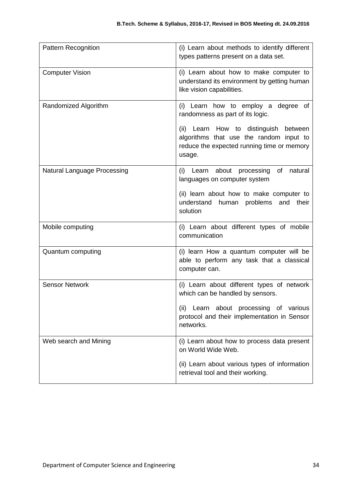| Pattern Recognition         | (i) Learn about methods to identify different<br>types patterns present on a data set.                                                   |
|-----------------------------|------------------------------------------------------------------------------------------------------------------------------------------|
| <b>Computer Vision</b>      | (i) Learn about how to make computer to<br>understand its environment by getting human<br>like vision capabilities.                      |
| Randomized Algorithm        | (i) Learn how to employ a degree of<br>randomness as part of its logic.                                                                  |
|                             | (ii) Learn How to distinguish between<br>algorithms that use the random input to<br>reduce the expected running time or memory<br>usage. |
| Natural Language Processing | (i) Learn about processing of<br>natural<br>languages on computer system                                                                 |
|                             | (ii) learn about how to make computer to<br>understand<br>human problems and their<br>solution                                           |
| Mobile computing            | (i) Learn about different types of mobile<br>communication                                                                               |
| Quantum computing           | (i) learn How a quantum computer will be<br>able to perform any task that a classical<br>computer can.                                   |
| <b>Sensor Network</b>       | (i) Learn about different types of network<br>which can be handled by sensors.                                                           |
|                             | (ii) Learn about processing of various<br>protocol and their implementation in Sensor<br>networks.                                       |
| Web search and Mining       | (i) Learn about how to process data present<br>on World Wide Web.                                                                        |
|                             | (ii) Learn about various types of information<br>retrieval tool and their working.                                                       |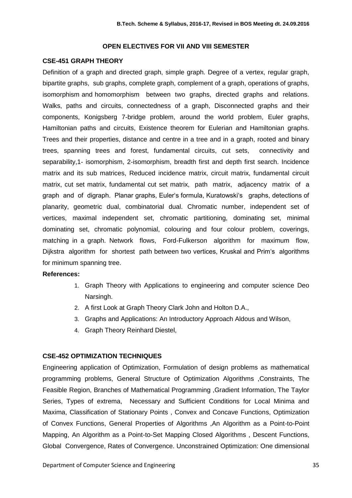#### **OPEN ELECTIVES FOR VII AND VIII SEMESTER**

#### **CSE-451 GRAPH THEORY**

Definition of a graph and directed graph, simple graph. Degree of a vertex, regular graph, bipartite graphs, sub graphs, complete graph, complement of a graph, operations of graphs, isomorphism and homomorphism between two graphs, directed graphs and relations. Walks, paths and circuits, connectedness of a graph, Disconnected graphs and their components, Konigsberg 7-bridge problem, around the world problem, Euler graphs, Hamiltonian paths and circuits, Existence theorem for Eulerian and Hamiltonian graphs. Trees and their properties, distance and centre in a tree and in a graph, rooted and binary trees, spanning trees and forest, fundamental circuits, cut sets, connectivity and separability,1- isomorphism, 2-isomorphism, breadth first and depth first search. Incidence matrix and its sub matrices, Reduced incidence matrix, circuit matrix, fundamental circuit matrix, cut set matrix, fundamental cut set matrix, path matrix, adjacency matrix of a graph and of digraph. Planar graphs, Euler's formula, Kuratowski's graphs, detections of planarity, geometric dual, combinatorial dual. Chromatic number, independent set of vertices, maximal independent set, chromatic partitioning, dominating set, minimal dominating set, chromatic polynomial, colouring and four colour problem, coverings, matching in a graph. Network flows, Ford-Fulkerson algorithm for maximum flow, Dijkstra algorithm for shortest path between two vertices, Kruskal and Prim's algorithms for minimum spanning tree.

#### **References:**

- 1. Graph Theory with Applications to engineering and computer science Deo Narsingh.
- 2. A first Look at Graph Theory Clark John and Holton D.A.,
- 3. Graphs and Applications: An Introductory Approach Aldous and Wilson,
- 4. Graph Theory Reinhard Diestel,

## **CSE-452 OPTIMIZATION TECHNIQUES**

Engineering application of Optimization, Formulation of design problems as mathematical programming problems, General Structure of Optimization Algorithms ,Constraints, The Feasible Region, Branches of Mathematical Programming ,Gradient Information, The Taylor Series, Types of extrema, Necessary and Sufficient Conditions for Local Minima and Maxima, Classification of Stationary Points , Convex and Concave Functions, Optimization of Convex Functions, General Properties of Algorithms ,An Algorithm as a Point-to-Point Mapping, An Algorithm as a Point-to-Set Mapping Closed Algorithms , Descent Functions, Global Convergence, Rates of Convergence. Unconstrained Optimization: One dimensional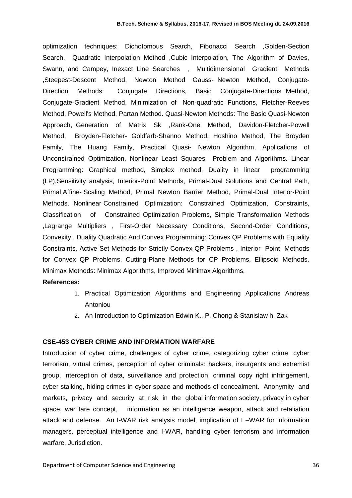optimization techniques: Dichotomous Search, Fibonacci Search ,Golden-Section Search, Quadratic Interpolation Method ,Cubic Interpolation, The Algorithm of Davies, Swann, and Campey, Inexact Line Searches , Multidimensional Gradient Methods ,Steepest-Descent Method, Newton Method Gauss- Newton Method, Conjugate-Direction Methods: Conjugate Directions, Basic Conjugate-Directions Method, Conjugate-Gradient Method, Minimization of Non-quadratic Functions, Fletcher-Reeves Method, Powell's Method, Partan Method. Quasi-Newton Methods: The Basic Quasi-Newton Approach, Generation of Matrix Sk ,Rank-One Method, Davidon-Fletcher-Powell Method, Broyden-Fletcher- Goldfarb-Shanno Method, Hoshino Method, The Broyden Family, The Huang Family, Practical Quasi- Newton Algorithm, Applications of Unconstrained Optimization, Nonlinear Least Squares Problem and Algorithms. Linear Programming: Graphical method, Simplex method, Duality in linear programming (LP),Sensitivity analysis, Interior-Point Methods, Primal-Dual Solutions and Central Path, Primal Affine- Scaling Method, Primal Newton Barrier Method, Primal-Dual Interior-Point Methods. Nonlinear Constrained Optimization: Constrained Optimization, Constraints, Classification of Constrained Optimization Problems, Simple Transformation Methods ,Lagrange Multipliers , First-Order Necessary Conditions, Second-Order Conditions, Convexity , Duality Quadratic And Convex Programming: Convex QP Problems with Equality Constraints, Active-Set Methods for Strictly Convex QP Problems , Interior- Point Methods for Convex QP Problems, Cutting-Plane Methods for CP Problems, Ellipsoid Methods. Minimax Methods: Minimax Algorithms, Improved Minimax Algorithms,

#### **References:**

- 1. Practical Optimization Algorithms and Engineering Applications Andreas Antoniou
- 2. An Introduction to Optimization Edwin K., P. Chong & Stanislaw h. Zak

### **CSE-453 CYBER CRIME AND INFORMATION WARFARE**

Introduction of cyber crime, challenges of cyber crime, categorizing cyber crime, cyber terrorism, virtual crimes, perception of cyber criminals: hackers, insurgents and extremist group, interception of data, surveillance and protection, criminal copy right infringement, cyber stalking, hiding crimes in cyber space and methods of concealment. Anonymity and markets, privacy and security at risk in the global information society, privacy in cyber space, war fare concept, information as an intelligence weapon, attack and retaliation attack and defense. An I-WAR risk analysis model, implication of I –WAR for information managers, perceptual intelligence and I-WAR, handling cyber terrorism and information warfare, Jurisdiction.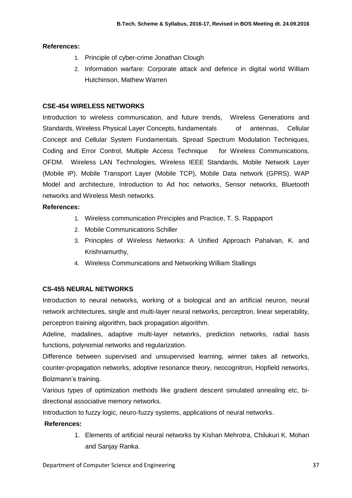## **References:**

- 1. Principle of cyber-crime Jonathan Clough
- 2. Information warfare: Corporate attack and defence in digital world William Hutchinson, Mathew Warren

## **CSE-454 WIRELESS NETWORKS**

Introduction to wireless communication, and future trends, Wireless Generations and Standards, Wireless Physical Layer Concepts, fundamentals of antennas, Cellular Concept and Cellular System Fundamentals. Spread Spectrum Modulation Techniques, Coding and Error Control, Multiple Access Technique for Wireless Communications, OFDM. Wireless LAN Technologies, Wireless IEEE Standards, Mobile Network Layer (Mobile IP). Mobile Transport Layer (Mobile TCP), Mobile Data network (GPRS), WAP Model and architecture, Introduction to Ad hoc networks, Sensor networks, Bluetooth networks and Wireless Mesh networks.

## **References:**

- 1. Wireless communication Principles and Practice, T. S. Rappaport
- 2. Mobile Communications Schiller
- 3. Principles of Wireless Networks: A Unified Approach Pahalvan, K. and Krishnamurthy,
- 4. Wireless Communications and Networking William Stallings

## **CS-455 NEURAL NETWORKS**

Introduction to neural networks, working of a biological and an artificial neuron, neural network architectures, single and multi-layer neural networks, perceptron, linear seperability, perceptron training algorithm, back propagation algorithm.

Adeline, madalines, adaptive multi-layer networks, prediction networks, radial basis functions, polynomial networks and regularization.

Difference between supervised and unsupervised learning, winner takes all networks, counter-propagation networks, adoptive resonance theory, neocognitron, Hopfield networks, Bolzmann's training.

Various types of optimization methods like gradient descent simulated annealing etc, bidirectional associative memory networks.

Introduction to fuzzy logic, neuro-fuzzy systems, applications of neural networks.

## **References:**

1. Elements of artificial neural networks by Kishan Mehrotra, Chilukuri K. Mohan and Sanjay Ranka.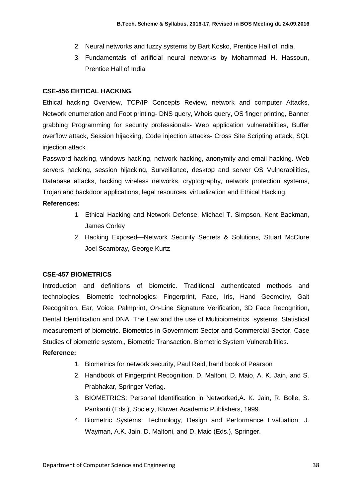- 2. Neural networks and fuzzy systems by Bart Kosko, Prentice Hall of India.
- 3. Fundamentals of artificial neural networks by Mohammad H. Hassoun, Prentice Hall of India.

#### **CSE-456 EHTICAL HACKING**

Ethical hacking Overview, TCP/IP Concepts Review, network and computer Attacks, Network enumeration and Foot printing- DNS query, Whois query, OS finger printing, Banner grabbing Programming for security professionals- Web application vulnerabilities, Buffer overflow attack, Session hijacking, Code injection attacks- Cross Site Scripting attack, SQL injection attack

Password hacking, windows hacking, network hacking, anonymity and email hacking. Web servers hacking, session hijacking, Surveillance, desktop and server OS Vulnerabilities, Database attacks, hacking wireless networks, cryptography, network protection systems, Trojan and backdoor applications, legal resources, virtualization and Ethical Hacking.

#### **References:**

- 1. Ethical Hacking and Network Defense. Michael T. Simpson, Kent Backman, James Corley
- 2. Hacking Exposed—Network Security Secrets & Solutions, Stuart McClure Joel Scambray, George Kurtz

## **CSE-457 BIOMETRICS**

Introduction and definitions of biometric. Traditional authenticated methods and technologies. Biometric technologies: Fingerprint, Face, Iris, Hand Geometry, Gait Recognition, Ear, Voice, Palmprint, On-Line Signature Verification, 3D Face Recognition, Dental Identification and DNA. The Law and the use of Multibiometrics systems. Statistical measurement of biometric. Biometrics in Government Sector and Commercial Sector. Case Studies of biometric system., Biometric Transaction. Biometric System Vulnerabilities.

## **Reference:**

- 1. Biometrics for network security, Paul Reid, hand book of Pearson
- 2. Handbook of Fingerprint Recognition, D. Maltoni, D. Maio, A. K. Jain, and S. Prabhakar, Springer Verlag.
- 3. BIOMETRICS: Personal Identification in Networked,A. K. Jain, R. Bolle, S. Pankanti (Eds.), Society, Kluwer Academic Publishers, 1999.
- 4. Biometric Systems: Technology, Design and Performance Evaluation, J. Wayman, A.K. Jain, D. Maltoni, and D. Maio (Eds.), Springer.